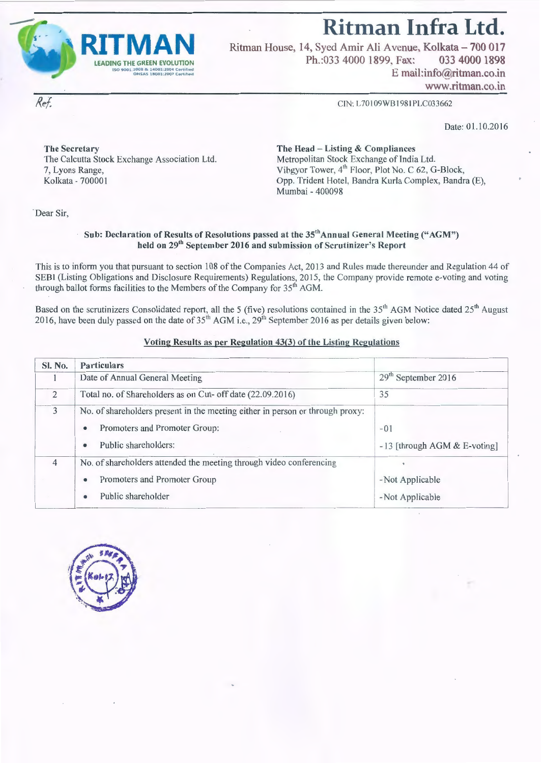**Ritman Infra Ltd.** 



Ritman House, 14, Syed Amir Ali Avenue, Kolkata - 700 017 Ph.:033 4000 1899, Fax: 033 4000 1898 E mail:info@ritman.co.in www.ritman.co.in

CIN: L70109WBI981PLC033662

Date: 01.10.2016

The Secretary The Head - Listing & Compliances The Calcutta Stock Exchange Association Ltd. 7, Lyons Range,

Metropolitan Stock Exchange of India Ltd. Vibgyor Tower, 4<sup>th</sup> Floor, Plot No. C 62, G-Block, Opp. Trident Hotel, Bandra Kurla Complex, Bandra (E), Mumbai - 400098

Dear Sir,

Ref.

#### Sub: Declaration of Results of Resolutions passed at the 35<sup>th</sup>Annual General Meeting ("AGM") held on 29<sup>th</sup> September 2016 and submission of Scrutinizer's Report

This is to inform you that pursuant to section 108 of the Companies Act, 2013 and Rules made thereunder and Regulation 44 of SEBI (Listing Obligations and Disclosure Requirements) Regulations, 2015, the Company provide remote e-voting and voting through ballot forms facilities to the Members of the Company for  $35<sup>th</sup>$  AGM.

Based on the scrutinizers Consolidated report, all the 5 (five) resolutions contained in the  $35<sup>th</sup>$  AGM Notice dated  $25<sup>th</sup>$  August 2016, have been duly passed on the date of  $35<sup>th</sup>$  AGM i.e., 29<sup>th</sup> September 2016 as per details given below:

#### Voting Results as per Regulation 43(3) of the Listing Regulations

| Sl. No. | <b>Particulars</b>                                                                                                                                       |                                                  |
|---------|----------------------------------------------------------------------------------------------------------------------------------------------------------|--------------------------------------------------|
|         | Date of Annual General Meeting                                                                                                                           | 29 <sup>th</sup> September 2016                  |
| 2       | Total no. of Shareholders as on Cut- off date (22.09.2016)                                                                                               | 35                                               |
| 3       | No. of shareholders present in the meeting either in person or through proxy:<br>Promoters and Promoter Group:<br>۰<br>Public shareholders:<br>$\bullet$ | $-01$<br>$-13$ [through AGM & E-voting]          |
| 4       | No. of shareholders attended the meeting through video conferencing<br>Promoters and Promoter Group<br>٠<br>Public shareholder<br>$\bullet$              | $\bullet$<br>-Not Applicable<br>- Not Applicable |

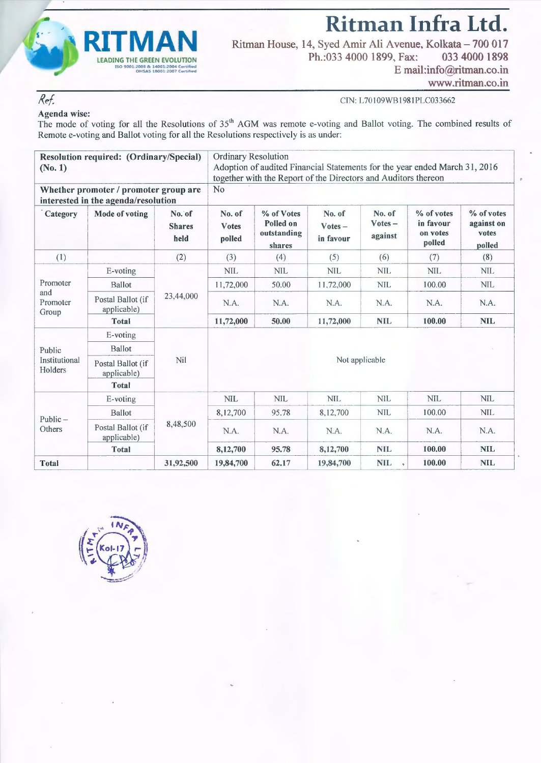

**Ritman Infra Ltd.**  Ritman House, 14, Syed Amir Ali Avenue, Kolkata-700 017 Ph.:033 4000 1899, Fax: 033 4000 1898

E mail:info@ritman.co.in

www.ritman.co.in

#### CIN: L70109WB1981PLC033662

## Ref. Agenda wise:

The mode of voting for all the Resolutions of  $35<sup>th</sup>$  AGM was remote e-voting and Ballot voting. The combined results of Remote e-voting and Ballot voting for all the Resolutions respectively is as under:

| (No. 1)                              | Resolution required: (Ordinary/Special)                                      |                                 |                                  | Ordinary Resolution<br>Adoption of audited Financial Statements for the year ended March 31, 2016<br>together with the Report of the Directors and Auditors thereon |                                  |                                |                                               |                                             |  |  |
|--------------------------------------|------------------------------------------------------------------------------|---------------------------------|----------------------------------|---------------------------------------------------------------------------------------------------------------------------------------------------------------------|----------------------------------|--------------------------------|-----------------------------------------------|---------------------------------------------|--|--|
|                                      | Whether promoter / promoter group are<br>interested in the agenda/resolution |                                 | No                               |                                                                                                                                                                     |                                  |                                |                                               |                                             |  |  |
| Category                             | Mode of voting                                                               | No. of<br><b>Shares</b><br>held | No. of<br><b>Votes</b><br>polled | % of Votes<br>Polled on<br>outstanding<br>shares                                                                                                                    | No. of<br>$Votes -$<br>in favour | No. of<br>$Votes -$<br>against | % of votes<br>in favour<br>on votes<br>polled | % of votes<br>against on<br>votes<br>polled |  |  |
| (1)                                  |                                                                              | (2)                             | (3)                              | (4)                                                                                                                                                                 | (5)                              | (6)                            | (7)                                           | (8)                                         |  |  |
|                                      | E-voting                                                                     |                                 | <b>NIL</b>                       | <b>NIL</b>                                                                                                                                                          | <b>NIL</b>                       | <b>NIL</b>                     | <b>NIL</b>                                    | <b>NIL</b>                                  |  |  |
| Promoter<br>and<br>Promoter<br>Group | <b>Ballot</b>                                                                | 23,44,000                       | 11,72,000                        | 50.00                                                                                                                                                               | 11,72,000                        | <b>NIL</b>                     | 100.00                                        | <b>NIL</b>                                  |  |  |
|                                      | Postal Ballot (if<br>applicable)                                             |                                 | N.A.                             | N.A.                                                                                                                                                                | N.A.                             | N.A.                           | N.A.                                          | N.A.                                        |  |  |
|                                      | Total                                                                        |                                 | 11,72,000                        | 50.00                                                                                                                                                               | 11,72,000                        | <b>NIL</b>                     | 100.00                                        | <b>NIL</b>                                  |  |  |
|                                      | E-voting                                                                     |                                 |                                  |                                                                                                                                                                     |                                  |                                |                                               |                                             |  |  |
| Public                               | <b>Ballot</b>                                                                |                                 |                                  |                                                                                                                                                                     |                                  |                                |                                               |                                             |  |  |
| Institutional<br>Holders             | Postal Ballot (if<br>applicable)                                             | Nil                             | Not applicable                   |                                                                                                                                                                     |                                  |                                |                                               |                                             |  |  |
|                                      | Total                                                                        |                                 |                                  |                                                                                                                                                                     |                                  |                                |                                               |                                             |  |  |
|                                      | E-voting                                                                     |                                 | <b>NIL</b>                       | <b>NIL</b>                                                                                                                                                          | <b>NIL</b>                       | <b>NIL</b>                     | <b>NIL</b>                                    | <b>NIL</b>                                  |  |  |
|                                      | Ballot                                                                       |                                 | 8,12,700                         | 95.78                                                                                                                                                               | 8,12,700                         | <b>NIL</b>                     | 100.00                                        | <b>NIL</b>                                  |  |  |
| Public $-$<br>Others                 | Postal Ballot (if<br>applicable)                                             | 8,48,500                        | N.A.                             | N.A.                                                                                                                                                                | N.A.                             | N.A.                           | N.A.                                          | N.A.                                        |  |  |
|                                      | <b>Total</b>                                                                 |                                 | 8,12,700                         | 95.78                                                                                                                                                               | 8,12,700                         | <b>NIL</b>                     | 100.00                                        | <b>NIL</b>                                  |  |  |
| <b>Total</b>                         |                                                                              | 31,92,500                       | 19,84,700                        | 62.17                                                                                                                                                               | 19,84,700                        | <b>NIL</b><br>٠                | 100.00                                        | <b>NIL</b>                                  |  |  |

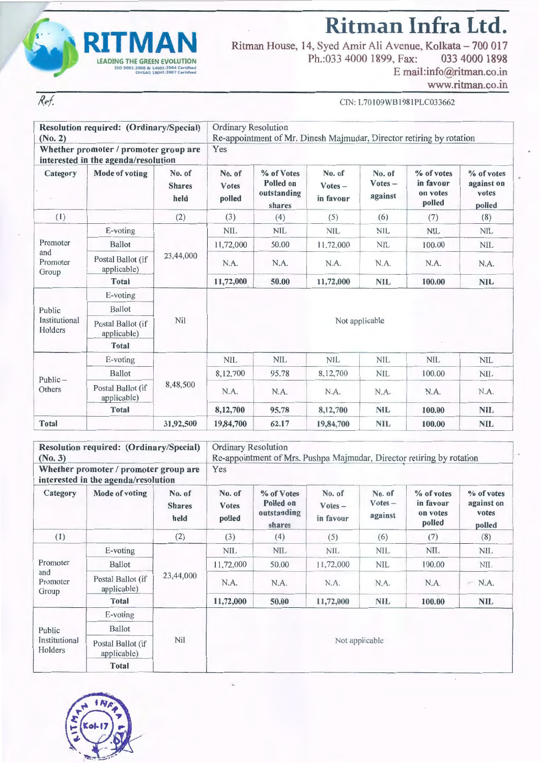

Ref.

**Ritman Infra Ltd.** 

Ritman House, 14, Syed Amir Ali Avenue, Kolkata- 700 017 Ph.:033 4000 1899, Fax: 033 4000 1898 E mail:info@ritman.co.in

www.ritman.co.in

 $\ddot{\phantom{0}}$ 

CIN: L701 09WB198IPLC033662

| (No. 2)                              | Resolution required: (Ordinary/Special)                                      |                                 |                                  | <b>Ordinary Resolution</b><br>Re-appointment of Mr. Dinesh Majmudar, Director retiring by rotation |                                  |                                |                                               |                                             |  |  |  |
|--------------------------------------|------------------------------------------------------------------------------|---------------------------------|----------------------------------|----------------------------------------------------------------------------------------------------|----------------------------------|--------------------------------|-----------------------------------------------|---------------------------------------------|--|--|--|
|                                      | Whether promoter / promoter group are<br>interested in the agenda/resolution |                                 | Yes                              |                                                                                                    |                                  |                                |                                               |                                             |  |  |  |
| Category                             | Mode of voting                                                               | No. of<br><b>Shares</b><br>held | No. of<br><b>Votes</b><br>polled | % of Votes<br>Polled on<br>outstanding<br>shares                                                   | No. of<br>$Votes -$<br>in favour | No. of<br>$Votes -$<br>against | % of votes<br>in favour<br>on votes<br>polled | % of votes<br>against on<br>votes<br>polled |  |  |  |
| (1)                                  |                                                                              | (2)                             | (3)                              | (4)                                                                                                | (5)                              | (6)                            | (7)                                           | (8)                                         |  |  |  |
|                                      | E-voting                                                                     |                                 | <b>NIL</b>                       | <b>NIL</b>                                                                                         | <b>NIL</b>                       | <b>NIL</b>                     | <b>NIL</b>                                    | <b>NIL</b>                                  |  |  |  |
| Promoter<br>and<br>Promoter<br>Group | <b>Ballot</b>                                                                |                                 | 11,72,000                        | 50.00                                                                                              | 11,72,000                        | <b>NIL</b>                     | 100.00                                        | <b>NIL</b>                                  |  |  |  |
|                                      | Postal Ballot (if<br>applicable)                                             | 23,44,000                       | N.A.                             | N.A.                                                                                               | N.A.                             | N.A.                           | N.A.                                          | N.A.                                        |  |  |  |
|                                      | <b>Total</b>                                                                 |                                 | 11,72,000                        | 50.00                                                                                              | 11,72,000                        | <b>NIL</b>                     | 100.00                                        | <b>NIL</b>                                  |  |  |  |
|                                      | E-voting                                                                     |                                 |                                  |                                                                                                    |                                  |                                |                                               |                                             |  |  |  |
| Public                               | <b>Ballot</b>                                                                |                                 |                                  |                                                                                                    |                                  |                                |                                               |                                             |  |  |  |
| Institutional<br>Holders             | Postal Ballot (if<br>applicable)                                             | <b>Nil</b>                      | Not applicable                   |                                                                                                    |                                  |                                |                                               |                                             |  |  |  |
|                                      | <b>Total</b>                                                                 |                                 |                                  |                                                                                                    |                                  |                                |                                               |                                             |  |  |  |
|                                      | E-voting                                                                     |                                 | <b>NIL</b>                       | <b>NIL</b>                                                                                         | <b>NIL</b>                       | <b>NIL</b>                     | <b>NIL</b>                                    | <b>NIL</b>                                  |  |  |  |
|                                      | <b>Ballot</b>                                                                |                                 | 8,12,700                         | 95.78                                                                                              | 8,12,700                         | <b>NIL</b>                     | 100.00                                        | <b>NIL</b>                                  |  |  |  |
| $Public -$<br>Others                 | Postal Ballot (if<br>applicable)                                             | 8,48,500                        | N.A.                             | N.A.                                                                                               | N.A.                             | N.A.                           | N.A.                                          | N.A.                                        |  |  |  |
|                                      | <b>Total</b>                                                                 |                                 | 8,12,700                         | 95.78                                                                                              | 8,12,700                         | <b>NIL</b>                     | 100.00                                        | <b>NIL</b>                                  |  |  |  |
| Total                                |                                                                              | 31,92,500                       | 19,84,700                        | 62.17                                                                                              | 19,84,700                        | <b>NIL</b>                     | 100.00                                        | <b>NIL</b>                                  |  |  |  |

| Resolution required: (Ordinary/Special)<br>$(N_0, 3)$<br>Whether promoter / promoter group are<br>interested in the agenda/resolution |                                  |                                 | Ordinary Resolution<br>Re-appointment of Mrs. Pushpa Majmudar, Director retiring by rotation<br>Yes |                                                  |                                  |                                |                                               |                                             |  |
|---------------------------------------------------------------------------------------------------------------------------------------|----------------------------------|---------------------------------|-----------------------------------------------------------------------------------------------------|--------------------------------------------------|----------------------------------|--------------------------------|-----------------------------------------------|---------------------------------------------|--|
| Category                                                                                                                              | Mode of voting                   | No. of<br><b>Shares</b><br>held | No. of<br><b>Votes</b><br>polled                                                                    | % of Votes<br>Polled on<br>outstanding<br>shares | No. of<br>$Votes -$<br>in favour | No. of<br>$Votes -$<br>against | % of votes<br>in favour<br>on votes<br>polled | % of votes<br>against on<br>votes<br>polled |  |
| (1)                                                                                                                                   |                                  | (2)                             | (3)                                                                                                 | (4)                                              | (5)                              | (6)                            | (7)                                           | (8)                                         |  |
|                                                                                                                                       | E-voting                         | 23,44,000                       | <b>NIL</b>                                                                                          | <b>NIL</b>                                       | <b>NIL</b>                       | <b>NIL</b>                     | <b>NIL</b>                                    | <b>NIL</b>                                  |  |
| Promoter                                                                                                                              | Ballot                           |                                 | 11,72,000                                                                                           | 50.00                                            | 11,72,000                        | <b>NIL</b>                     | 100.00                                        | <b>NIL</b>                                  |  |
| and<br>Promoter<br>Group                                                                                                              | Postal Ballot (if<br>applicable) |                                 | N.A.                                                                                                | N.A.                                             | N.A.                             | N.A.                           | N.A.                                          | $-N.A.$                                     |  |
|                                                                                                                                       | Total                            |                                 | 11,72,000                                                                                           | 50.00                                            | 11,72,000                        | <b>NIL</b>                     | 100.00                                        | NIL                                         |  |
|                                                                                                                                       | E-voting                         |                                 |                                                                                                     |                                                  |                                  |                                |                                               |                                             |  |
| Public<br>Institutional<br>Holders                                                                                                    | Ballot                           |                                 |                                                                                                     |                                                  |                                  |                                |                                               |                                             |  |
|                                                                                                                                       | Postal Ballot (if<br>applicable) | Nil                             |                                                                                                     |                                                  |                                  | Not applicable                 |                                               |                                             |  |
|                                                                                                                                       | <b>Total</b>                     |                                 |                                                                                                     |                                                  |                                  |                                |                                               |                                             |  |

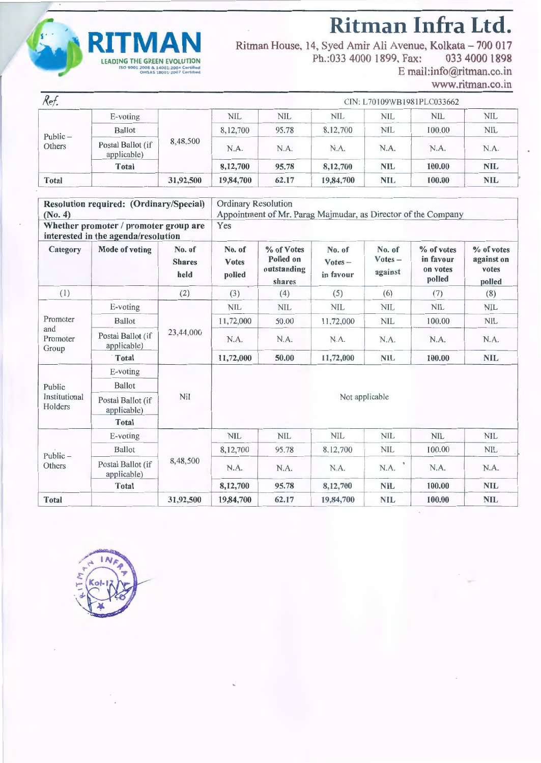



Ritman House, 14, Syed Amir Ali Avenue, Kolkata – 700 017 Ph.:033 4000 1899. Fax: 033 4000 1898 E mail:info@ritman.co.in

www.ritman.co.in

| Ref.                 |                                  |           |           |            | CIN: L70109WB1981PLC033662 |            |            |            |  |
|----------------------|----------------------------------|-----------|-----------|------------|----------------------------|------------|------------|------------|--|
|                      | $E$ -voting                      |           | NIL.      | <b>NIL</b> | <b>NIL</b>                 | <b>NIL</b> | <b>NIL</b> | <b>NIL</b> |  |
| $Public -$<br>Others | <b>Ballot</b>                    |           | 8,12,700  | 95.78      | 8,12,700                   | <b>NIL</b> | 100.00     | <b>NIL</b> |  |
|                      | Postal Ballot (if<br>applicable) | 8,48,500  | N.A.      | N.A.       | N.A.                       | N.A.       | N.A.       | N.A.       |  |
|                      | <b>Total</b>                     |           | 8,12,700  | 95.78      | 8,12,700                   | <b>NIL</b> | 100.00     | <b>NIL</b> |  |
| <b>Total</b>         |                                  | 31,92,500 | 19,84,700 | 62.17      | 19,84,700                  | <b>NIL</b> | 100.00     | <b>NIL</b> |  |

| (No. 4)                  | Resolution required: (Ordinary/Special)                                      |                                 | <b>Ordinary Resolution</b>       | Appointment of Mr. Parag Majmudar, as Director of the Company |                                  |                                |                                               |                                             |  |
|--------------------------|------------------------------------------------------------------------------|---------------------------------|----------------------------------|---------------------------------------------------------------|----------------------------------|--------------------------------|-----------------------------------------------|---------------------------------------------|--|
|                          | Whether promoter / promoter group are<br>interested in the agenda/resolution |                                 | Yes                              |                                                               |                                  |                                |                                               |                                             |  |
| Category                 | <b>Mode of voting</b>                                                        | No. of<br><b>Shares</b><br>held | No. of<br><b>Votes</b><br>polled | % of Votes<br>Polled on<br>outstanding<br>shares              | No. of<br>$Votes -$<br>in favour | No. of<br>$Votes -$<br>against | % of votes<br>in favour<br>on votes<br>polled | % of votes<br>against on<br>votes<br>polled |  |
| (1)                      |                                                                              | (2)                             | (3)                              | (4)                                                           | (5)                              | (6)                            | (7)                                           | (8)                                         |  |
|                          | E-voting                                                                     |                                 | <b>NIL</b>                       | <b>NIL</b>                                                    | <b>NIL</b>                       | <b>NIL</b>                     | <b>NIL</b>                                    | <b>NIL</b>                                  |  |
| Promoter                 | <b>Ballot</b>                                                                |                                 | 11,72,000                        | 50.00                                                         | 11,72,000                        | <b>NIL</b>                     | 100.00                                        | <b>NIL</b>                                  |  |
| and<br>Promoter<br>Group | Postal Ballot (if<br>applicable)                                             | 23,44,000                       | N.A.                             | N.A.                                                          | N.A.                             | N.A.                           | N.A.                                          | N.A.                                        |  |
|                          | Total                                                                        |                                 | 11,72,000                        | 50.00                                                         | 11,72,000                        | <b>NIL</b>                     | 100.00                                        | <b>NIL</b>                                  |  |
|                          | E-voting                                                                     |                                 |                                  |                                                               |                                  |                                |                                               |                                             |  |
| Public                   | <b>Ballot</b>                                                                |                                 |                                  |                                                               |                                  |                                |                                               |                                             |  |
| Institutional<br>Holders | Postal Ballot (if<br>applicable)                                             | Nil                             |                                  |                                                               |                                  | Not applicable                 |                                               |                                             |  |
|                          | Total                                                                        |                                 |                                  |                                                               |                                  |                                |                                               |                                             |  |
|                          | E-voting                                                                     |                                 | <b>NIL</b>                       | <b>NIL</b>                                                    | <b>NIL</b>                       | <b>NIL</b>                     | <b>NIL</b>                                    | <b>NIL</b>                                  |  |
|                          | <b>Ballot</b>                                                                |                                 | 8,12,700                         | 95.78                                                         | 8,12,700                         | <b>NIL</b>                     | 100.00                                        | <b>NIL</b>                                  |  |
| $Public -$<br>Others     | Postal Ballot (if<br>applicable)                                             | 8,48,500                        | N.A.                             | N.A.                                                          | N.A.                             | N.A.                           | N.A.                                          | N.A.                                        |  |
|                          | Total                                                                        |                                 | 8,12,700                         | 95.78                                                         | 8,12,700                         | <b>NIL</b>                     | 100.00                                        | <b>NIL</b>                                  |  |
| <b>Total</b>             |                                                                              | 31,92,500                       | 19,84,700                        | 62.17                                                         | 19,84,700                        | <b>NIL</b>                     | 100.00                                        | <b>NIL</b>                                  |  |

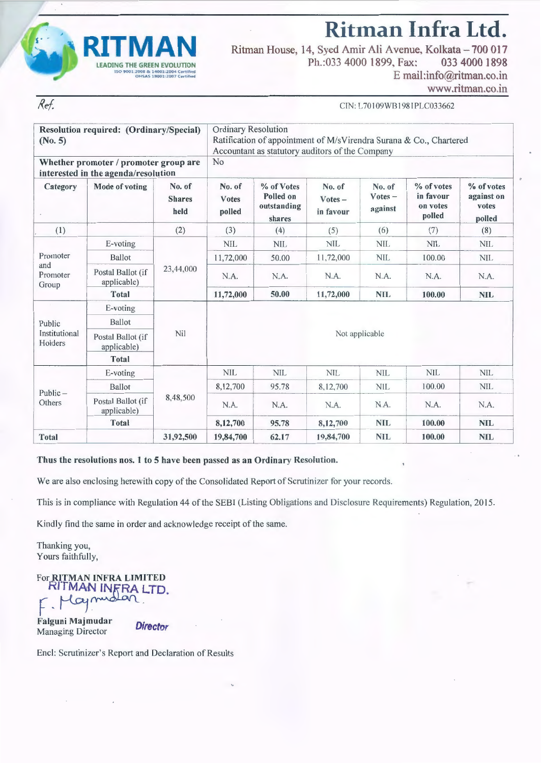

Ref.

**Ritman Infra Ltd.**  Ritman House, 14, Syed Amir Ali Avenue, Kolkata - 700 017<br>Ph.:033 4000 1899. Fax: 033 4000 1898

Ph.:033 4000 1899. Fax:

E mail :info@ritman.co.in

www.ritman.co.in

CIN: L701 09WB 1981PLC033662

| Resolution required: (Ordinary/Special)<br>(No. 5) |                                                                              | Ordinary Resolution<br>Ratification of appointment of M/sVirendra Surana & Co., Chartered<br>Accountant as statutory auditors of the Company |                           |                                                  |                                  |                                |                                               |                                             |  |  |
|----------------------------------------------------|------------------------------------------------------------------------------|----------------------------------------------------------------------------------------------------------------------------------------------|---------------------------|--------------------------------------------------|----------------------------------|--------------------------------|-----------------------------------------------|---------------------------------------------|--|--|
|                                                    | Whether promoter / promoter group are<br>interested in the agenda/resolution |                                                                                                                                              | No                        |                                                  |                                  |                                |                                               |                                             |  |  |
| Category                                           | Mode of voting                                                               | No. of<br><b>Shares</b><br>held                                                                                                              | No. of<br>Votes<br>polled | % of Votes<br>Polled on<br>outstanding<br>shares | No. of<br>$Votes -$<br>in favour | No. of<br>$Votes -$<br>against | % of votes<br>in favour<br>on votes<br>polled | % of votes<br>against on<br>votes<br>polled |  |  |
| (1)                                                |                                                                              | (2)                                                                                                                                          | (3)                       | (4)                                              | (5)                              | (6)                            | (7)                                           | (8)                                         |  |  |
|                                                    | E-voting                                                                     | 23,44,000                                                                                                                                    | <b>NIL</b>                | <b>NIL</b>                                       | <b>NIL</b>                       | <b>NIL</b>                     | <b>NIL</b>                                    | <b>NIL</b>                                  |  |  |
| Promoter                                           | Ballot                                                                       |                                                                                                                                              | 11,72,000                 | 50.00                                            | 11,72,000                        | <b>NIL</b>                     | 100.00                                        | NIL                                         |  |  |
| and<br>Promoter<br>Group                           | Postal Ballot (if<br>applicable)                                             |                                                                                                                                              | N.A.                      | N.A.                                             | N.A.                             | N.A.                           | N.A.                                          | N.A.                                        |  |  |
|                                                    | <b>Total</b>                                                                 |                                                                                                                                              | 11,72,000                 | 50.00                                            | 11,72,000                        | <b>NIL</b>                     | 100.00                                        | <b>NIL</b>                                  |  |  |
|                                                    | E-voting                                                                     |                                                                                                                                              |                           |                                                  |                                  |                                |                                               |                                             |  |  |
| Public                                             | Ballot                                                                       |                                                                                                                                              |                           |                                                  |                                  |                                |                                               |                                             |  |  |
| Institutional<br>Holders                           | Postal Ballot (if<br>applicable)                                             | Nil                                                                                                                                          |                           |                                                  | Not applicable                   |                                |                                               |                                             |  |  |
|                                                    | <b>Total</b>                                                                 |                                                                                                                                              |                           |                                                  |                                  |                                |                                               |                                             |  |  |
|                                                    | E-voting                                                                     |                                                                                                                                              | <b>NIL</b>                | <b>NIL</b>                                       | <b>NIL</b>                       | <b>NIL</b>                     | <b>NIL</b>                                    | <b>NIL</b>                                  |  |  |
| $Public -$                                         | Ballot                                                                       |                                                                                                                                              | 8,12,700                  | 95.78                                            | 8,12,700                         | <b>NIL</b>                     | 100.00                                        | <b>NIL</b>                                  |  |  |
| Others                                             | Postal Ballot (if<br>applicable)                                             | 8,48,500                                                                                                                                     | N.A.                      | N.A.                                             | N.A.                             | N.A.                           | N.A.                                          | N.A.                                        |  |  |
|                                                    | <b>Total</b>                                                                 |                                                                                                                                              | 8,12,700                  | 95.78                                            | 8,12,700                         | <b>NIL</b>                     | 100.00                                        | <b>NIL</b>                                  |  |  |
| <b>Total</b>                                       |                                                                              | 31,92,500                                                                                                                                    | 19,84,700                 | 62.17                                            | 19,84,700                        | <b>NIL</b>                     | 100.00                                        | <b>NIL</b>                                  |  |  |

#### Thus the resolutions nos. 1 to 5 have been passed as an Ordinary Resolution.

We are also enclosing herewith copy of the Consolidated Report of Scrutinizer for your records.

This is in compliance with Regulation 44 of the SEBI (Listing Obligations and Disclosure Requirements) Regulation, 2015.

Kindly find the same in order and acknowledge receipt of the same.

Thanking you, Yours faithfully,

For RITMAN INFRA LIMITED RITMAN INFRALTD.<br>F. Maymodan.<br>Falguni Majmudar Neach

Falguni Majmudar<br>Managing Director **Director** 

Encl: Scrutinizer's Report and Declaration of Results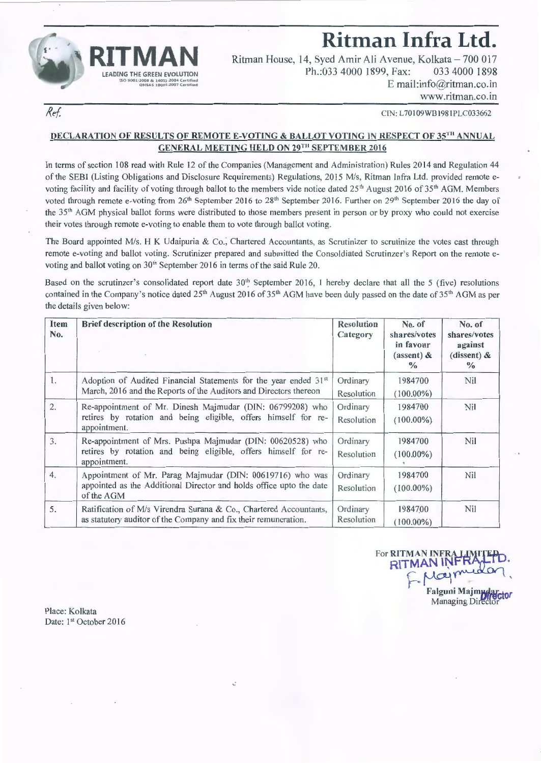

## **Ritman Infra Ltd.**

Ritman House, 14, Syed Amir Ali Avenue, Kolkata- 700 017 Ph.:033 4000 1899, Fax: 033 4000 1898 E mail:info@ritman.co.in www.ritman.co.in

Ref.

CTN: L70109WB1981PLC033662

### DECLARATION OF RESULTS OF REMOTE E-VOTING & BALLOT VOTING IN RESPECT OF 35TH ANNUAL GENERAL MEETING HELD ON 29TH SEPTEMBER 2016

In terms of section 108 read with Rule 12 of the Companies (Management and Administration) Rules 2014 and Regulation 44 of the SEBI (Listing Obligations and Disclosure Requirements) Regulations, 2015 M/s, Ritman Infra Ltd. provided remote evoting facility and facility of voting through ballot to the members vide notice dated  $25<sup>th</sup>$  August 2016 of  $35<sup>th</sup>$  AGM. Members voted through remote e-voting from 26<sup>th</sup> September 2016 to 28<sup>th</sup> September 2016. Further on 29<sup>th</sup> September 2016 the day of the 35th AGM physical ballot forms were distributed to those members present in person or by proxy who could not exercise their votes through remote e-voting to enable them to vote through ballot voting.

The Board appointed *Mis.* H K Udaipuria & Co., Chartered Accountants, as Scrutinizer to scrutinize the votes cast through remote e-voting and ballot voting. Scrutinizer prepared and submitted the Consoldiated Scrutinzer's Report on the remote evoting and ballot voting on 30<sup>th</sup> September 2016 in terms of the said Rule 20.

Based on the scrutinzer's consolidated report date  $30<sup>th</sup>$  September 2016, I hereby declare that all the 5 (five) resolutions contained in the Company's notice dated  $25<sup>th</sup>$  August 2016 of  $35<sup>th</sup>$  AGM have been duly passed on the date of  $35<sup>th</sup>$  AGM as per the details given below:

| Item<br>No.      | <b>Brief description of the Resolution</b>                                                                                                     | <b>Resolution</b><br>Category | No. of<br>shares/votes<br>in favour<br>$(assert)$ &<br>$\frac{0}{0}$ | No. of<br>shares/votes<br>against<br>(dissent) $\&$<br>$\frac{0}{0}$ |
|------------------|------------------------------------------------------------------------------------------------------------------------------------------------|-------------------------------|----------------------------------------------------------------------|----------------------------------------------------------------------|
| 1.               | Adoption of Audited Financial Statements for the year ended 31st<br>March, 2016 and the Reports of the Auditors and Directors thereon          | Ordinary<br>Resolution        | 1984700<br>$(100.00\%)$                                              | Nil                                                                  |
| $\overline{2}$ . | Re-appointment of Mr. Dinesh Majmudar (DIN: 06799208) who<br>retires by rotation and being eligible, offers himself for re-<br>appointment.    | Ordinary<br>Resolution        | 1984700<br>$(100.00\%)$                                              | Nil                                                                  |
| 3.               | Re-appointment of Mrs. Pushpa Majmudar (DIN: 00620528) who<br>retires by rotation and being eligible, offers himself for re-<br>appointment.   | Ordinary<br>Resolution        | 1984700<br>$(100.00\%)$                                              | Nil                                                                  |
| 4.               | Appointment of Mr. Parag Majmudar (DIN: 00619716) who was<br>appointed as the Additional Director and holds office upto the date<br>of the AGM | Ordinary<br>Resolution        | 1984700<br>$(100.00\%)$                                              | Nil                                                                  |
| 5.               | Ratification of M/s Virendra Surana & Co., Chartered Accountants,<br>as statutory auditor of the Company and fix their remuneration.           | Ordinary<br>Resolution        | 1984700<br>$(100.00\%)$                                              | Nil                                                                  |

~·

For RITMAN INFRALIMITED. RITMAN INFRALIU.<br>F-Maymudan

Falguni Majm**warctor** Managing Director

Place: Kolkata Date: 1st October 2016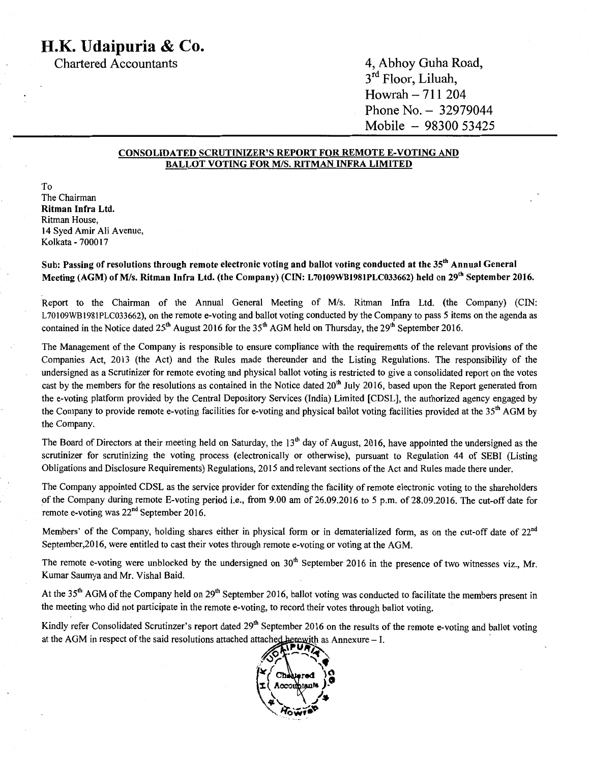Chartered Accountants 4, Abhoy Guha Road, 3<sup>ra</sup> Floor, Liluah, Howrah - 711 204 Phone No. - 32979044 Mobile - 98300 53425

#### CONSOLIDATED SCRUTINIZER'S REPORT FOR REMOTE E-VOTING AND BALLOT VOTING FOR *MIS.* RITMAN INFRA LIMITED

To The Chairman Ritman Infra Ltd. Ritman House, 14 Syed Amir Ali Avenue, Kolkata - 700017

Sub: Passing of resolutions through remote electronic voting and ballot voting conducted at the 35<sup>th</sup> Annual General Meeting (AGM) of M/s. Ritman Infra Ltd. (the Company) (CIN: L70109WB1981PLC033662) held on 29<sup>th</sup> September 2016.

Report to the Chairman of the Annual General Meeting of *Mis.* Ritman Infra Ltd. (the Company) (CIN: L70109WB1981PLC033662), on the remote e-voting and ballot voting conducted by the Company to pass 5 items on the agenda as contained in the Notice dated  $25<sup>th</sup>$  August 2016 for the  $35<sup>th</sup>$  AGM held on Thursday, the  $29<sup>th</sup>$  September 2016.

The Management of the Company is responsible to ensure compliance with the requirements of the relevant provisions of the Companies Act, 2013 (the Act) and the Rules made thereunder and the Listing Regulations. The responsibility of the undersigned as a Scrutinizer for remote evoting and physical ballot voting is restricted to give a consolidated report on the votes cast by the members for the resolutions as contained in the Notice dated  $20<sup>th</sup>$  July 2016, based upon the Report generated from the e-voting platform provided by the Central Depository Services (India) Limited [CDSL], the authorized agency engaged by the Company to provide remote e-voting facilities for e-voting and physical ballot voting facilities provided at the  $35<sup>th</sup>$  AGM by the Company.

The Board of Directors at their meeting held on Saturday, the  $13<sup>th</sup>$  day of August, 2016, have appointed the undersigned as the scrutinizer for scrutinizing the voting process (electronically or otherwise), pursuant to Regulation 44 of SEBI (Listing Obligations and Disclosure Requirements) Regulations, 2015 and relevant sections of the Act and Rules made there under.

The Company appointed CDSL as the service provider for extending the facility of remote electronic voting to the shareholders of the Company during remote E-voting period i.e., from 9.00 am of 26.09.2016 to 5 p.m. of 28.09.2016. The cut-off date for remote e-voting was  $22<sup>nd</sup>$  September 2016.

Members' of the Company, holding shares either in physical form or in dematerialized form, as on the cut-off date of  $22<sup>nd</sup>$ September,2016, were entitled to cast their votes through remote e-voting or voting at the AGM.

The remote e-voting were unblocked by the undersigned on  $30<sup>th</sup>$  September 2016 in the presence of two witnesses viz., Mr. Kumar Saumya and Mr. Vishal Baid.

At the  $35<sup>th</sup>$  AGM of the Company held on  $29<sup>th</sup>$  September 2016, ballot voting was conducted to facilitate the members present in the meeting who did not participate in the remote e-voting, to record their votes through ballot voting.

Kindly refer Consolidated Scrutinzer's report dated 29<sup>th</sup> September 2016 on the results of the remote e-voting and ballot voting at the AGM in respect of the said resolutions attached attached herewith as Annexure - I.<br>  $\sqrt{P} \cdot P$ 

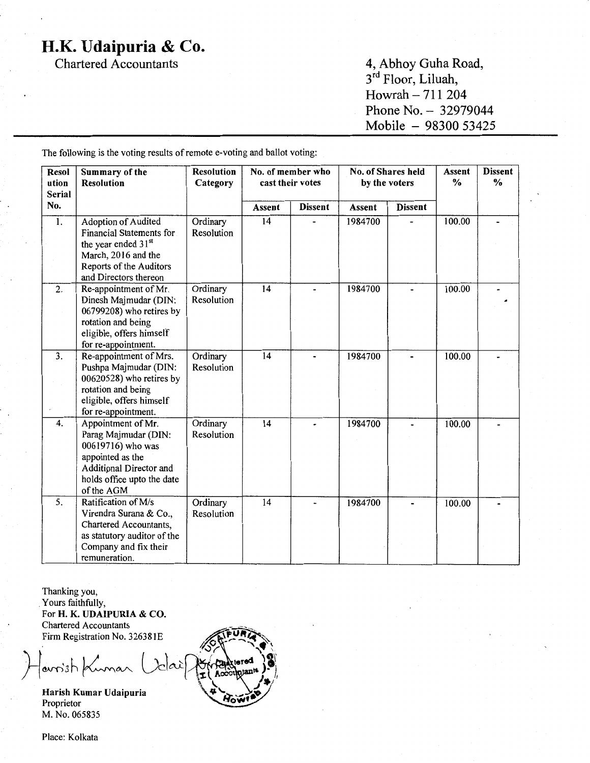Chartered Accountants

4, Abhoy Guha Road, 3<sup>ra</sup> Floor, Liluah, Howrah - 711 204 Phone No. - 32979044 Mobile - 98300 53425

.

Resol Summary of the ution Resolution Serial No. 1. Adoption of Audited Financial Statements for the year ended 31<sup>st</sup> March, 2016 and the Reports of the Auditors and Directors thereon 2. Re-appointment of Mr. Dinesh Majmudar (DIN: 06799208) who retires by rotation and being eligible, offers himself for re-appointment. 3. Re-appointment of Mrs. Pushpa Majmudar (DIN: 00620528) who retires by rotation and being eligible, offers himself for re-appointment. 4. Appointment of Mr. Parag Majmudar (DIN: 00619716) who was appointed as the Additional Director and holds office upto the date of the AGM 5. Ratification ofM/s Virendra Surana & Co., Chartered Accountants, Resolution No. of member who Category  $\vert$  cast their votes Assent Dissent Ordinary 14 -Resolution Ordinary 14<br>Resolution 14 Ordinary 14<br>Resolution 14 Ordinary 14<br>Resolution Ordinary 14<br>Resolution No. of Shares held <br>by the voters  $\begin{array}{c|c} \sim & \text{Dissent} \\ \sim & \sim & \sim \end{array}$ by the voters Assent Dissent 1984700 - 100.00 - 1984700 - 100.00 - 1984700 - 100.00 - 1984700 - 100.00 - 1984700 - 100.00 -

The following is the voting results of remote e-voting and ballot voting:

Thanking you, . Yours faithfully, For H.K. UDAIPURIA & CO. Chartered Accountants Firm Registration No. 32638 IE

remuneration.

as statutory auditor of the Company and fix their

avoist Kumar (idar

Harish Kumar Udaipuria Proprietor M. No. 065835

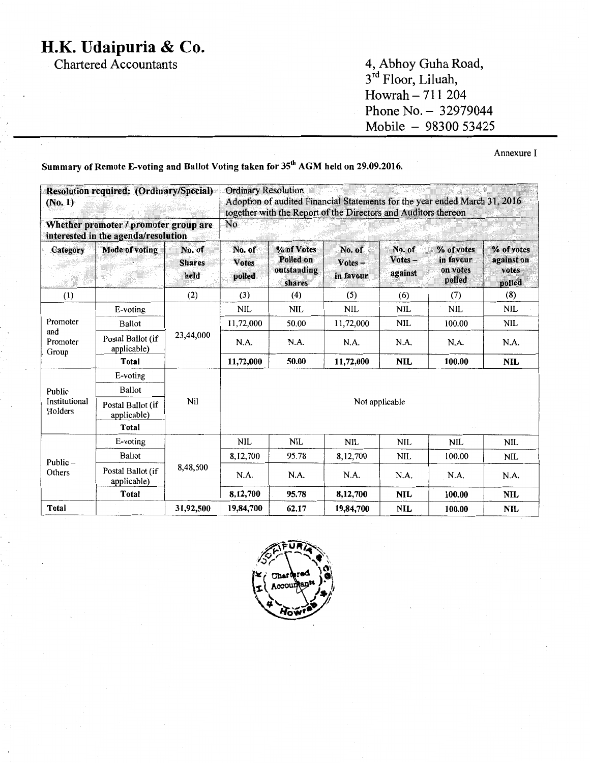Chartered Accountants 4, Abhoy Guha Road, 3<sup>rd</sup> Floor, Liluah, Howrah  $-711204$ Phone No. - 32979044 Mobile - 98300 53425

Annexure I

Summary of Remote E-voting and Ballot Voting taken for 35<sup>th</sup> AGM held on 29.09.2016.

| (No. 1)                  | Resolution required: (Ordinary/Special)                                      |                                 | <b>Ordinary Resolution</b><br>Adoption of audited Financial Statements for the year ended March 31, 2016<br>together with the Report of the Directors and Auditors thereon<br>No |                                                  |                                  |                             |                                               |                                             |  |
|--------------------------|------------------------------------------------------------------------------|---------------------------------|----------------------------------------------------------------------------------------------------------------------------------------------------------------------------------|--------------------------------------------------|----------------------------------|-----------------------------|-----------------------------------------------|---------------------------------------------|--|
|                          | Whether promoter / promoter group are<br>interested in the agenda/resolution |                                 |                                                                                                                                                                                  |                                                  |                                  |                             |                                               |                                             |  |
| Category                 | Mode of voting                                                               | No. of<br><b>Shares</b><br>held | No. of<br><b>Votes</b><br>polled                                                                                                                                                 | % of Votes<br>Polled on<br>outstanding<br>shares | No. of<br>$Votes -$<br>in favour | No. of<br>Votes-<br>against | % of votes<br>in favour<br>on votes<br>polled | % of votes<br>against on<br>votes<br>polled |  |
| (1)                      |                                                                              | (2)                             | (3)                                                                                                                                                                              | (4)                                              | (5)                              | (6)                         | (7)                                           | (8)                                         |  |
|                          | $E$ -voting                                                                  |                                 | <b>NIL</b>                                                                                                                                                                       | <b>NIL</b>                                       | <b>NIL</b>                       | <b>NIL</b>                  | <b>NIL</b>                                    | <b>NIL</b>                                  |  |
| Promoter                 | Ballot                                                                       | 23,44,000                       | 11,72,000                                                                                                                                                                        | 50.00                                            | 11,72,000                        | <b>NIL</b>                  | 100.00                                        | <b>NIL</b>                                  |  |
| and<br>Promoter<br>Group | Postal Ballot (if<br>applicable)                                             |                                 | N.A.                                                                                                                                                                             | N.A.                                             | N.A.                             | N.A.                        | N.A.                                          | N.A.                                        |  |
|                          | Total                                                                        |                                 | 11,72,000                                                                                                                                                                        | 50.00                                            | 11,72,000                        | <b>NIL</b>                  | 100.00                                        | <b>NIL</b>                                  |  |
|                          | E-voting                                                                     |                                 |                                                                                                                                                                                  |                                                  |                                  |                             |                                               |                                             |  |
| Public                   | <b>Ballot</b>                                                                |                                 |                                                                                                                                                                                  |                                                  |                                  |                             |                                               |                                             |  |
| Institutional<br>Holders | Postal Ballot (if<br>applicable)                                             | Nil                             | Not applicable                                                                                                                                                                   |                                                  |                                  |                             |                                               |                                             |  |
|                          | Total                                                                        |                                 |                                                                                                                                                                                  |                                                  |                                  |                             |                                               |                                             |  |
|                          | E-voting                                                                     |                                 | <b>NIL</b>                                                                                                                                                                       | <b>NIL</b>                                       | <b>NIL</b>                       | <b>NIL</b>                  | <b>NIL</b>                                    | <b>NIL</b>                                  |  |
|                          | <b>Ballot</b>                                                                |                                 | 8,12,700                                                                                                                                                                         | 95.78                                            | 8,12,700                         | <b>NIL</b>                  | 100.00                                        | <b>NIL</b>                                  |  |
| Public $-$<br>Others     | Postal Ballot (if<br>applicable)                                             | 8,48,500                        | N.A.                                                                                                                                                                             | N.A.                                             | N.A.                             | N.A.                        | N.A.                                          | N.A.                                        |  |
|                          | Total                                                                        |                                 | 8,12,700                                                                                                                                                                         | 95.78                                            | 8,12,700                         | <b>NIL</b>                  | 100.00                                        | <b>NIL</b>                                  |  |
| Total                    |                                                                              | 31,92,500                       | 19,84,700                                                                                                                                                                        | 62.17                                            | 19,84,700                        | <b>NIL</b>                  | 100.00                                        | <b>NIL</b>                                  |  |

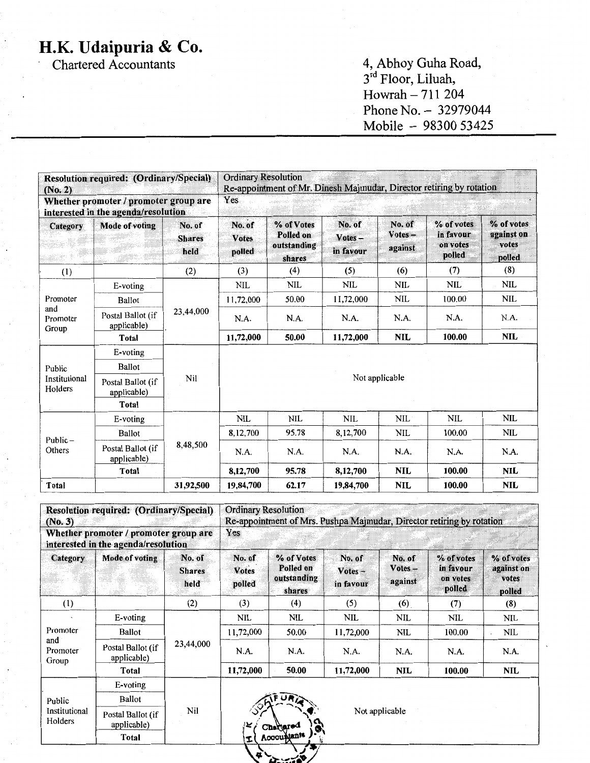Chartered Accountants

4, Abhoy Guha Road, 3<sup>ra</sup> Floor, Liluah,  $However, 711 204$ Phone No. - 32979044 Mobile - 98300 53425

| (No. 2)                  | <b>Resolution required: (Ordinary/Special)</b>                               |                                 | <b>Ordinary Resolution</b>       | Re-appointment of Mr. Dinesh Majmudar, Director retiring by rotation |                                  |                                |                                               |                                             |  |
|--------------------------|------------------------------------------------------------------------------|---------------------------------|----------------------------------|----------------------------------------------------------------------|----------------------------------|--------------------------------|-----------------------------------------------|---------------------------------------------|--|
|                          | Whether promoter / promoter group are<br>interested in the agenda/resolution |                                 | Yes                              |                                                                      |                                  |                                |                                               |                                             |  |
| Category                 | <b>Mode of voting</b>                                                        | No. of<br><b>Shares</b><br>held | No. of<br><b>Votes</b><br>polled | % of Votes<br>Polled on<br>outstanding<br>shares                     | No. of<br>$Votes -$<br>in favour | No. of<br>$Votes -$<br>against | % of votes<br>in favour<br>on votes<br>polled | % of votes<br>against on<br>votes<br>polled |  |
| (1)                      |                                                                              | (2)                             | (3)                              | (4)                                                                  | (5)                              | (6)                            | (7)                                           | (8)                                         |  |
|                          | E-voting                                                                     |                                 | <b>NIL</b>                       | <b>NIL</b>                                                           | <b>NIL</b>                       | <b>NIL</b>                     | <b>NIL</b>                                    | <b>NIL</b>                                  |  |
| Promoter                 | <b>Ballot</b>                                                                | 23,44,000                       | 11,72,000                        | 50.00                                                                | 11,72,000                        | <b>NIL</b>                     | 100.00                                        | <b>NIL</b>                                  |  |
| and<br>Promoter<br>Group | Postal Ballot (if<br>applicable)                                             |                                 | N.A.                             | N.A.                                                                 | N.A.                             | N.A.                           | N.A.                                          | N.A.                                        |  |
|                          | Total                                                                        |                                 | 11,72,000                        | 50.00                                                                | 11,72,000                        | <b>NIL</b>                     | 100.00                                        | <b>NIL</b>                                  |  |
|                          | E-voting                                                                     |                                 |                                  |                                                                      |                                  |                                |                                               |                                             |  |
| Public                   | Ballot                                                                       |                                 |                                  |                                                                      |                                  |                                |                                               |                                             |  |
| Institutional<br>Holders | Postal Ballot (if<br>applicable)                                             | Nil                             |                                  |                                                                      | Not applicable                   |                                |                                               |                                             |  |
|                          | Total                                                                        |                                 |                                  |                                                                      |                                  |                                |                                               |                                             |  |
|                          | E-voting                                                                     |                                 | <b>NIL</b>                       | <b>NIL</b>                                                           | NIL                              | NIL                            | <b>NIL</b>                                    | <b>NIL</b>                                  |  |
|                          | Ballot                                                                       |                                 | 8,12,700                         | 95.78                                                                | 8,12,700                         | <b>NIL</b>                     | 100.00                                        | <b>NIL</b>                                  |  |
| Public $-$<br>Others     | Postal Ballot (if<br>applicable)                                             | 8,48,500                        | N.A.                             | N.A.                                                                 | N.A.                             | N.A.                           | N.A.                                          | N.A.                                        |  |
|                          | <b>Total</b>                                                                 |                                 | 8,12,700                         | 95.78                                                                | 8,12,700                         | <b>NIL</b>                     | 100.00                                        | <b>NIL</b>                                  |  |
| Total                    |                                                                              | 31,92,500                       | 19,84,700                        | 62.17                                                                | 19,84,700                        | <b>NIL</b>                     | 100.00                                        | <b>NIL</b>                                  |  |

| (No. 3)                                                                      | Resolution required: (Ordinary/Special) |                                 | <b>Ordinary Resolution</b><br>Re-appointment of Mrs. Pushpa Majmudar, Director retiring by rotation |                                                  |                                  |                             |                                               |                                             |  |  |
|------------------------------------------------------------------------------|-----------------------------------------|---------------------------------|-----------------------------------------------------------------------------------------------------|--------------------------------------------------|----------------------------------|-----------------------------|-----------------------------------------------|---------------------------------------------|--|--|
| Whether promoter / promoter group are<br>interested in the agenda/resolution |                                         |                                 | Yes                                                                                                 |                                                  |                                  |                             |                                               |                                             |  |  |
| <b>Category</b>                                                              | <b>Mode of voting</b>                   | No. of<br><b>Shares</b><br>held | No. of<br><b>Votes</b><br>polled                                                                    | % of Votes<br>Polled on<br>outstanding<br>shares | No. of<br>$Votes -$<br>in favour | No. of<br>Votes-<br>against | % of votes<br>in favour<br>on votes<br>polled | % of votes<br>against on<br>votes<br>polled |  |  |
| (1)                                                                          |                                         | (2)                             | (3)                                                                                                 | (4)                                              | (5)                              | (6)                         | (7)                                           | (8)                                         |  |  |
| Promoter                                                                     | E-voting                                | 23,44,000                       | NIL                                                                                                 | NIL                                              | <b>NIL</b>                       | NIL                         | NIL                                           | NIL                                         |  |  |
|                                                                              | Ballot                                  |                                 | 11,72,000                                                                                           | 50.00                                            | 11,72,000                        | <b>NIL</b>                  | 100.00                                        | <b>NIL</b>                                  |  |  |
| and<br>Promoter<br>Group                                                     | Postal Ballot (if<br>applicable)        |                                 | N.A.                                                                                                | N.A.                                             | N.A.                             | N.A.                        | N.A.                                          | N.A.                                        |  |  |
|                                                                              | Total                                   |                                 | 11,72,000                                                                                           | 50.00                                            | 11,72,000                        | <b>NIL</b>                  | 100.00                                        | NIL                                         |  |  |
|                                                                              | $E$ -voting                             |                                 |                                                                                                     |                                                  |                                  |                             |                                               |                                             |  |  |
| Public                                                                       | <b>Ballot</b>                           |                                 |                                                                                                     |                                                  |                                  |                             |                                               |                                             |  |  |
| Nil<br>Institutional<br>Postal Ballot (if<br>Holders<br>applicable)          |                                         |                                 | بيواز                                                                                               | Chargared                                        |                                  | Not applicable              |                                               |                                             |  |  |
|                                                                              | Total                                   |                                 | Ĩ.                                                                                                  | Accountants                                      |                                  |                             |                                               |                                             |  |  |
|                                                                              |                                         |                                 | <b>u</b>                                                                                            |                                                  |                                  |                             |                                               |                                             |  |  |

 $F_{\rm max}$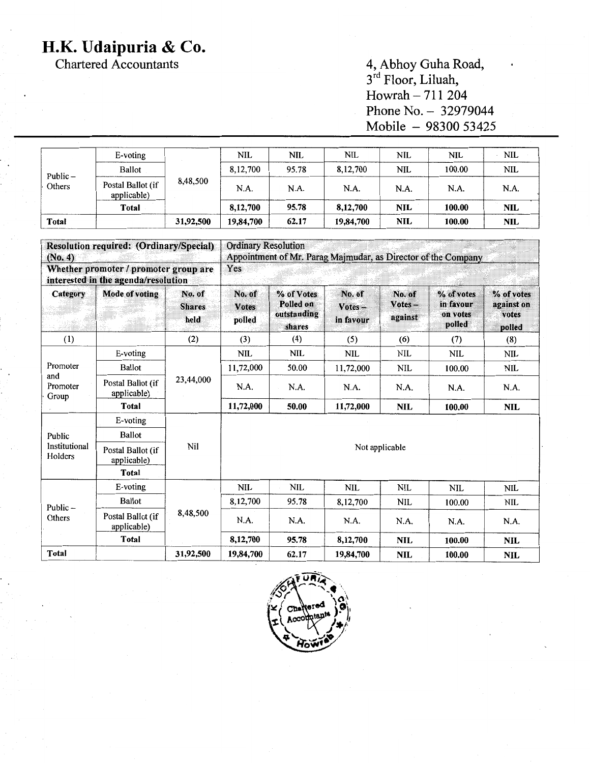Chartered Accountants

4, Abhoy Guha Road, 3<sup>ra</sup> Floor, Liluah, Howrah - 711 204 Phone No. - 32979044 Mobile - 98300 53425

| Public –<br>Others | $E$ -voting                      |           | NIL       | NIL   | NIL       | <b>NIL</b> | <b>NIL</b> | <b>NIL</b> |
|--------------------|----------------------------------|-----------|-----------|-------|-----------|------------|------------|------------|
|                    | Ballot                           |           | 8,12,700  | 95.78 | 8,12,700  | <b>NIL</b> | 100.00     | <b>NIL</b> |
|                    | Postal Ballot (if<br>applicable) | 8,48,500  | N.A.      | N.A.  | N.A.      | N.A.       | N.A.       | N.A.       |
|                    | Total                            |           | 8,12,700  | 95.78 | 8,12,700  | <b>NIL</b> | 100.00     | <b>NIL</b> |
| Total              |                                  | 31,92,500 | 19,84,700 | 62.17 | 19,84,700 | <b>NIL</b> | 100.00     | <b>NIL</b> |

| <b>Resolution required: (Ordinary/Special)</b><br>(No. 4)<br>Whether promoter / promoter group are<br>interested in the agenda/resolution |                                  |           | <b>Ordinary Resolution</b><br>Appointment of Mr. Parag Majmudar, as Director of the Company<br>Yes |            |            |            |            |            |  |
|-------------------------------------------------------------------------------------------------------------------------------------------|----------------------------------|-----------|----------------------------------------------------------------------------------------------------|------------|------------|------------|------------|------------|--|
|                                                                                                                                           |                                  |           |                                                                                                    |            |            |            |            |            |  |
| (1)                                                                                                                                       |                                  | (2)       | (3)                                                                                                | (4)        | (5)        | (6)        | (7)        | (8)        |  |
| Promoter<br>and<br>Promoter<br>Group                                                                                                      | E-voting                         | 23,44,000 | <b>NIL</b>                                                                                         | <b>NIL</b> | <b>NIL</b> | <b>NIL</b> | <b>NIL</b> | <b>NIL</b> |  |
|                                                                                                                                           | Ballot                           |           | 11,72,000                                                                                          | 50.00      | 11,72,000  | NIL        | 100.00     | <b>NIL</b> |  |
|                                                                                                                                           | Postal Ballot (if<br>applicable) |           | N.A.                                                                                               | N.A.       | N.A.       | N.A.       | N.A.       | N.A.       |  |
|                                                                                                                                           | Total                            |           | 11,72,000                                                                                          | 50.00      | 11,72,000  | NIL        | 100.00     | <b>NIL</b> |  |
| Public<br><b>Institutional</b><br>Holders                                                                                                 | E-voting                         | Nil       |                                                                                                    |            |            |            |            |            |  |
|                                                                                                                                           | <b>Ballot</b>                    |           |                                                                                                    |            |            |            |            |            |  |
|                                                                                                                                           | Postal Ballot (if<br>applicable) |           | Not applicable                                                                                     |            |            |            |            |            |  |
|                                                                                                                                           | <b>Total</b>                     |           |                                                                                                    |            |            |            |            |            |  |
|                                                                                                                                           | E-voting                         |           | <b>NIL</b>                                                                                         | <b>NIL</b> | <b>NIL</b> | <b>NIL</b> | <b>NIL</b> | <b>NIL</b> |  |
| Public-<br>Others                                                                                                                         | <b>Ballot</b>                    | 8,48,500  | 8,12,700                                                                                           | 95.78      | 8,12,700   | NIL        | 100.00     | <b>NIL</b> |  |
|                                                                                                                                           | Postal Ballot (if<br>applicable) |           | N.A.                                                                                               | N.A.       | N.A.       | N.A.       | N.A.       | N.A.       |  |
|                                                                                                                                           | <b>Total</b>                     |           | 8,12,700                                                                                           | 95.78      | 8,12,700   | <b>NIL</b> | 100.00     | <b>NIL</b> |  |
| <b>Total</b>                                                                                                                              |                                  | 31,92,500 | 19,84,700                                                                                          | 62.17      | 19,84,700  | <b>NIL</b> | 100.00     | <b>NIL</b> |  |